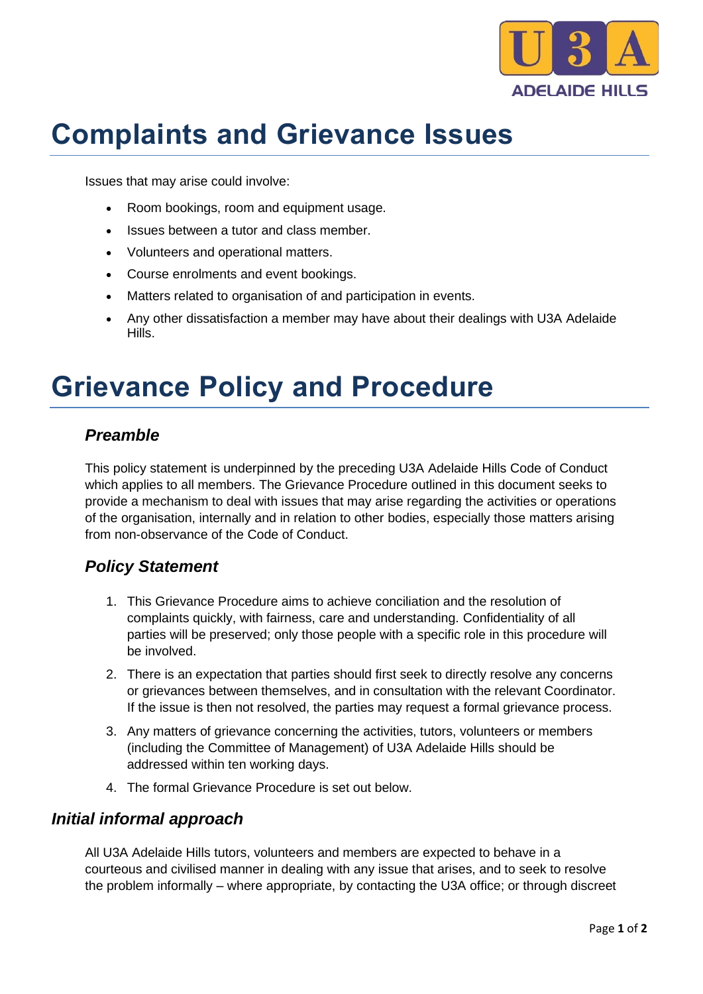

# **Complaints and Grievance Issues**

Issues that may arise could involve:

- Room bookings, room and equipment usage.
- Issues between a tutor and class member.
- Volunteers and operational matters.
- Course enrolments and event bookings.
- Matters related to organisation of and participation in events.
- Any other dissatisfaction a member may have about their dealings with U3A Adelaide Hills.

## **Grievance Policy and Procedure**

#### *Preamble*

This policy statement is underpinned by the preceding U3A Adelaide Hills Code of Conduct which applies to all members. The Grievance Procedure outlined in this document seeks to provide a mechanism to deal with issues that may arise regarding the activities or operations of the organisation, internally and in relation to other bodies, especially those matters arising from non-observance of the Code of Conduct.

### *Policy Statement*

- 1. This Grievance Procedure aims to achieve conciliation and the resolution of complaints quickly, with fairness, care and understanding. Confidentiality of all parties will be preserved; only those people with a specific role in this procedure will be involved.
- 2. There is an expectation that parties should first seek to directly resolve any concerns or grievances between themselves, and in consultation with the relevant Coordinator. If the issue is then not resolved, the parties may request a formal grievance process.
- 3. Any matters of grievance concerning the activities, tutors, volunteers or members (including the Committee of Management) of U3A Adelaide Hills should be addressed within ten working days.
- 4. The formal Grievance Procedure is set out below.

#### *Initial informal approach*

All U3A Adelaide Hills tutors, volunteers and members are expected to behave in a courteous and civilised manner in dealing with any issue that arises, and to seek to resolve the problem informally – where appropriate, by contacting the U3A office; or through discreet